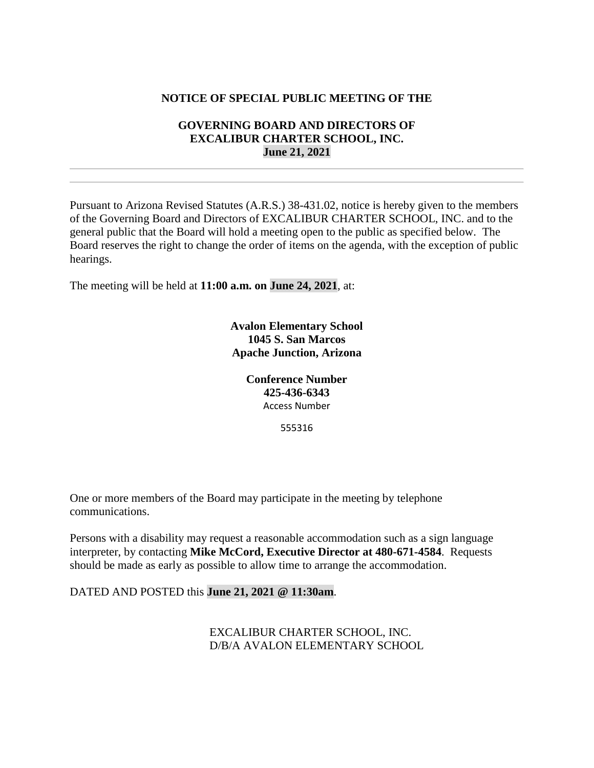## **NOTICE OF SPECIAL PUBLIC MEETING OF THE**

## **GOVERNING BOARD AND DIRECTORS OF EXCALIBUR CHARTER SCHOOL, INC. June 21, 2021**

Pursuant to Arizona Revised Statutes (A.R.S.) 38-431.02, notice is hereby given to the members of the Governing Board and Directors of EXCALIBUR CHARTER SCHOOL, INC. and to the general public that the Board will hold a meeting open to the public as specified below. The Board reserves the right to change the order of items on the agenda, with the exception of public hearings.

The meeting will be held at **11:00 a.m. on June 24, 2021**, at:

**Avalon Elementary School 1045 S. San Marcos Apache Junction, Arizona**

> **Conference Number 425-436-6343** Access Number

> > 555316

One or more members of the Board may participate in the meeting by telephone communications.

Persons with a disability may request a reasonable accommodation such as a sign language interpreter, by contacting **Mike McCord, Executive Director at 480-671-4584**. Requests should be made as early as possible to allow time to arrange the accommodation.

DATED AND POSTED this **June 21, 2021 @ 11:30am**.

EXCALIBUR CHARTER SCHOOL, INC. D/B/A AVALON ELEMENTARY SCHOOL